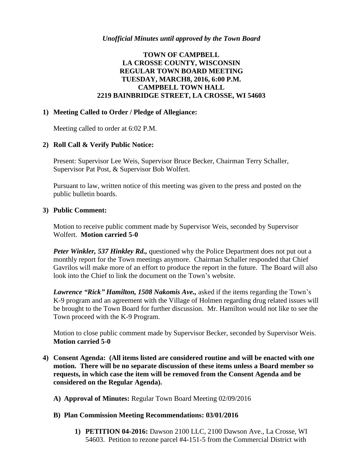# **TOWN OF CAMPBELL LA CROSSE COUNTY, WISCONSIN REGULAR TOWN BOARD MEETING TUESDAY, MARCH8, 2016, 6:00 P.M. CAMPBELL TOWN HALL 2219 BAINBRIDGE STREET, LA CROSSE, WI 54603**

### **1) Meeting Called to Order / Pledge of Allegiance:**

Meeting called to order at 6:02 P.M.

### **2) Roll Call & Verify Public Notice:**

Present: Supervisor Lee Weis, Supervisor Bruce Becker, Chairman Terry Schaller, Supervisor Pat Post, & Supervisor Bob Wolfert.

Pursuant to law, written notice of this meeting was given to the press and posted on the public bulletin boards.

### **3) Public Comment:**

Motion to receive public comment made by Supervisor Weis, seconded by Supervisor Wolfert. **Motion carried 5-0**

Peter Winkler, 537 Hinkley Rd., questioned why the Police Department does not put out a monthly report for the Town meetings anymore. Chairman Schaller responded that Chief Gavrilos will make more of an effort to produce the report in the future. The Board will also look into the Chief to link the document on the Town's website.

*Lawrence "Rick" Hamilton, 1508 Nakomis Ave.,* asked if the items regarding the Town's K-9 program and an agreement with the Village of Holmen regarding drug related issues will be brought to the Town Board for further discussion. Mr. Hamilton would not like to see the Town proceed with the K-9 Program.

Motion to close public comment made by Supervisor Becker, seconded by Supervisor Weis. **Motion carried 5-0**

- **4) Consent Agenda: (All items listed are considered routine and will be enacted with one motion. There will be no separate discussion of these items unless a Board member so requests, in which case the item will be removed from the Consent Agenda and be considered on the Regular Agenda).**
	- **A) Approval of Minutes:** Regular Town Board Meeting 02/09/2016

#### **B) Plan Commission Meeting Recommendations: 03/01/2016**

**1) PETITION 04-2016:** Dawson 2100 LLC, 2100 Dawson Ave., La Crosse, WI 54603. Petition to rezone parcel #4-151-5 from the Commercial District with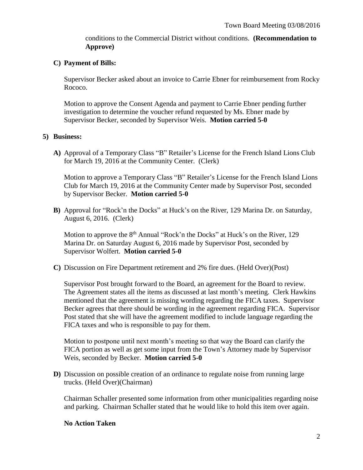conditions to the Commercial District without conditions. **(Recommendation to Approve)**

### **C) Payment of Bills:**

Supervisor Becker asked about an invoice to Carrie Ebner for reimbursement from Rocky Rococo.

Motion to approve the Consent Agenda and payment to Carrie Ebner pending further investigation to determine the voucher refund requested by Ms. Ebner made by Supervisor Becker, seconded by Supervisor Weis. **Motion carried 5-0**

### **5) Business:**

**A)** Approval of a Temporary Class "B" Retailer's License for the French Island Lions Club for March 19, 2016 at the Community Center. (Clerk)

Motion to approve a Temporary Class "B" Retailer's License for the French Island Lions Club for March 19, 2016 at the Community Center made by Supervisor Post, seconded by Supervisor Becker. **Motion carried 5-0**

**B)** Approval for "Rock'n the Docks" at Huck's on the River, 129 Marina Dr. on Saturday, August 6, 2016. (Clerk)

Motion to approve the  $8<sup>th</sup>$  Annual "Rock'n the Docks" at Huck's on the River, 129 Marina Dr. on Saturday August 6, 2016 made by Supervisor Post, seconded by Supervisor Wolfert. **Motion carried 5-0**

**C)** Discussion on Fire Department retirement and 2% fire dues. (Held Over)(Post)

Supervisor Post brought forward to the Board, an agreement for the Board to review. The Agreement states all the items as discussed at last month's meeting. Clerk Hawkins mentioned that the agreement is missing wording regarding the FICA taxes. Supervisor Becker agrees that there should be wording in the agreement regarding FICA. Supervisor Post stated that she will have the agreement modified to include language regarding the FICA taxes and who is responsible to pay for them.

Motion to postpone until next month's meeting so that way the Board can clarify the FICA portion as well as get some input from the Town's Attorney made by Supervisor Weis, seconded by Becker. **Motion carried 5-0**

**D)** Discussion on possible creation of an ordinance to regulate noise from running large trucks. (Held Over)(Chairman)

Chairman Schaller presented some information from other municipalities regarding noise and parking. Chairman Schaller stated that he would like to hold this item over again.

#### **No Action Taken**